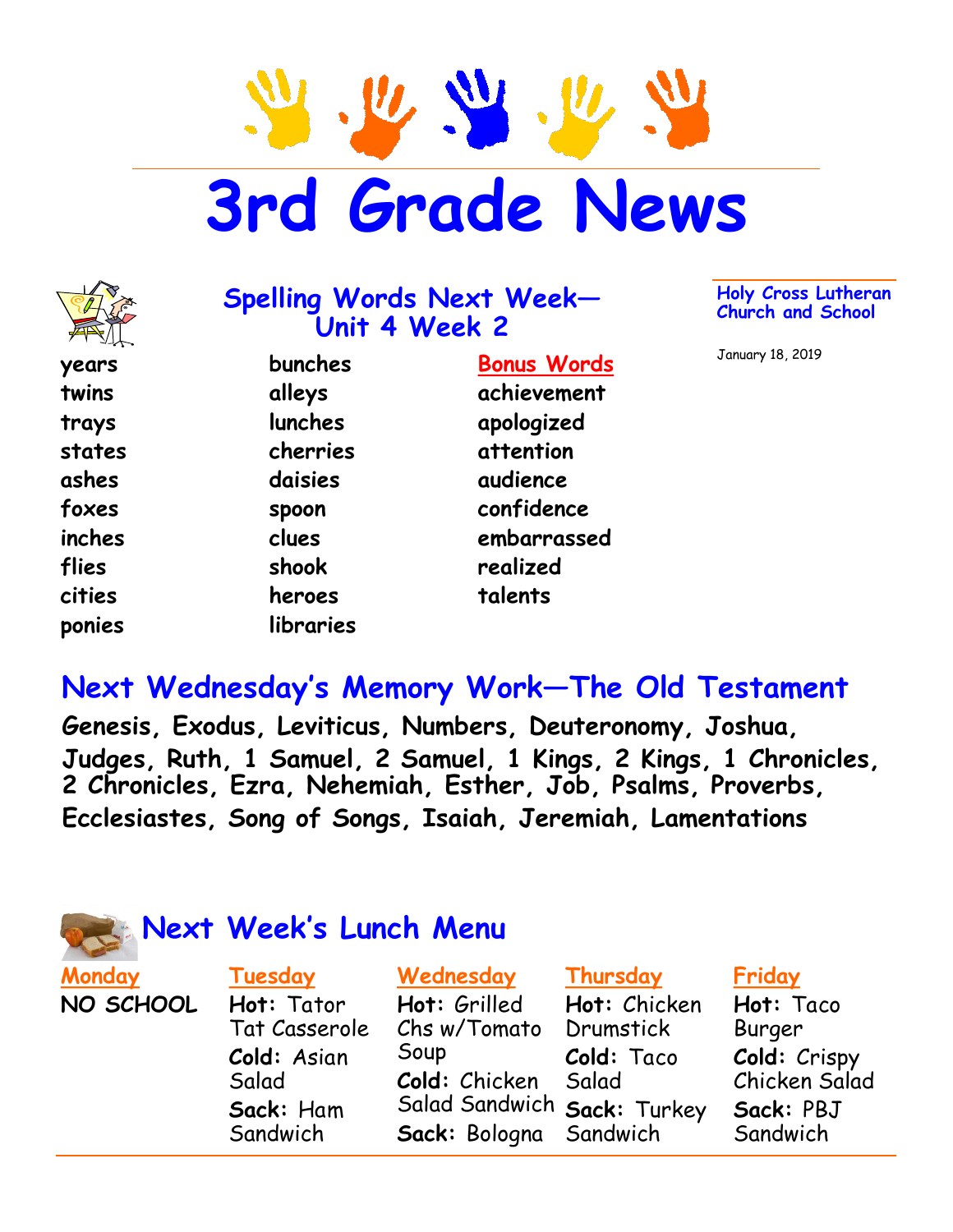**3rd Grade News**



#### **Spelling Words Next Week— Unit 4 Week 2**

**years twins trays states ashes foxes inches flies cities ponies**

**bunches alleys lunches cherries daisies spoon clues shook heroes libraries**

**Bonus Words achievement apologized attention audience confidence embarrassed realized talents**

**Holy Cross Lutheran Church and School**

January 18, 2019

# **Next Wednesday's Memory Work—The Old Testament**

**Genesis, Exodus, Leviticus, Numbers, Deuteronomy, Joshua, Judges, Ruth, 1 Samuel, 2 Samuel, 1 Kings, 2 Kings, 1 Chronicles, 2 Chronicles, Ezra, Nehemiah, Esther, Job, Psalms, Proverbs, Ecclesiastes, Song of Songs, Isaiah, Jeremiah, Lamentations**



## **Next Week's Lunch Menu**

**Tuesday Hot:** Tator Tat Casserole **Cold:** Asian

Salad

**Sack:** Ham **Sandwich** 

**Monday NO SCHOOL**

#### **Wednesday**

**Hot:** Grilled Chs w/Tomato Soup **Cold:** Chicken Salad Sandwich **Sack:** Turkey **Sack:** Bologna

#### **Thursday**

**Hot:** Chicken **Drumstick Cold:** Taco Salad Sandwich

#### **Friday**

**Hot:** Taco Burger **Cold:** Crispy Chicken Salad **Sack:** PBJ Sandwich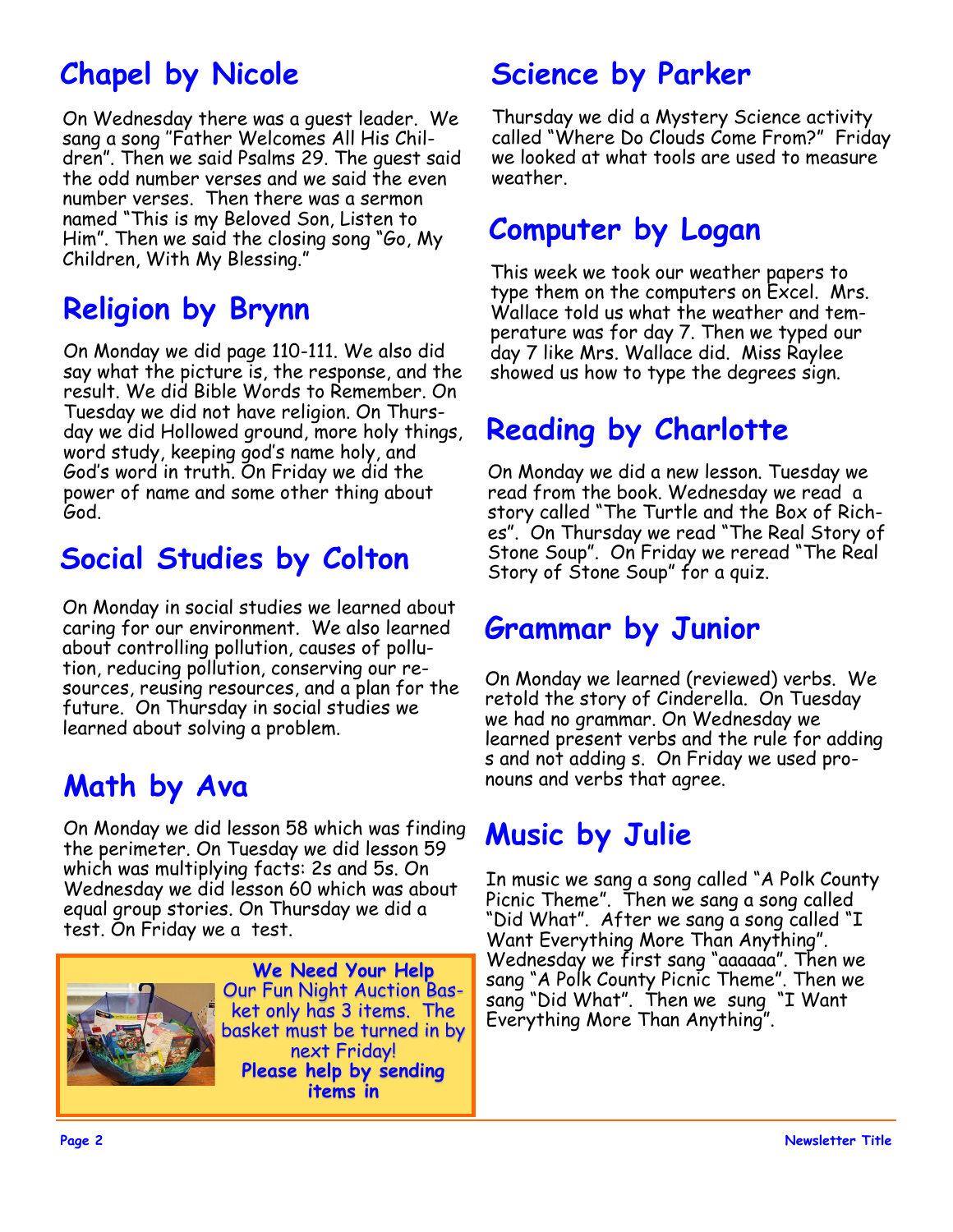# **Chapel by Nicole**

On Wednesday there was a guest leader. We sang a song ''Father Welcomes All His Children". Then we said Psalms 29. The guest said the odd number verses and we said the even number verses. Then there was a sermon named "This is my Beloved Son, Listen to Him". Then we said the closing song "Go, My Children, With My Blessing."

# **Religion by Brynn**

On Monday we did page 110-111. We also did say what the picture is, the response, and the result. We did Bible Words to Remember. On Tuesday we did not have religion. On Thursday we did Hollowed ground, more holy things, word study, keeping god's name holy, and God's word in truth. On Friday we did the power of name and some other thing about God.

# **Social Studies by Colton**

On Monday in social studies we learned about caring for our environment. We also learned about controlling pollution, causes of pollution, reducing pollution, conserving our resources, reusing resources, and a plan for the future. On Thursday in social studies we learned about solving a problem.

# **Math by Ava**

On Monday we did lesson 58 which was finding the perimeter. On Tuesday we did lesson 59 which was multiplying facts: 2s and 5s. On Wednesday we did lesson 60 which was about equal group stories. On Thursday we did a test. On Friday we a test.



# **Science by Parker**

Thursday we did a Mystery Science activity called "Where Do Clouds Come From?" Friday we looked at what tools are used to measure weather.

# **Computer by Logan**

This week we took our weather papers to type them on the computers on Excel. Mrs. Wallace told us what the weather and temperature was for day 7. Then we typed our day 7 like Mrs. Wallace did. Miss Raylee showed us how to type the degrees sign.

# **Reading by Charlotte**

On Monday we did a new lesson. Tuesday we read from the book. Wednesday we read a story called "The Turtle and the Box of Riches". On Thursday we read "The Real Story of Stone Soup". On Friday we reread "The Real Story of Stone Soup" for a quiz.

## **Grammar by Junior**

On Monday we learned (reviewed) verbs. We retold the story of Cinderella. On Tuesday we had no grammar. On Wednesday we learned present verbs and the rule for adding s and not adding s. On Friday we used pronouns and verbs that agree.

# **Music by Julie**

In music we sang a song called "A Polk County Picnic Theme". Then we sang a song called "Did What". After we sang a song called "I Want Everything More Than Anything". Wednesday we first sang "aaaaaa". Then we sang "A Polk County Picnic Theme". Then we sang "Did What". Then we sung "I Want Everything More Than Anything".